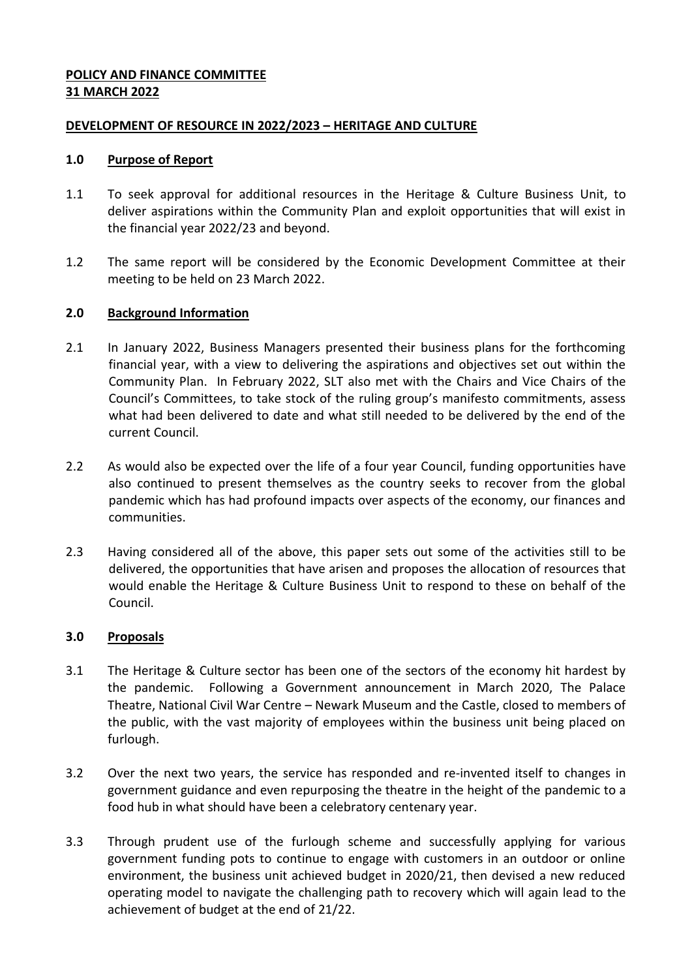### **POLICY AND FINANCE COMMITTEE 31 MARCH 2022**

### **DEVELOPMENT OF RESOURCE IN 2022/2023 – HERITAGE AND CULTURE**

### **1.0 Purpose of Report**

- 1.1 To seek approval for additional resources in the Heritage & Culture Business Unit, to deliver aspirations within the Community Plan and exploit opportunities that will exist in the financial year 2022/23 and beyond.
- 1.2 The same report will be considered by the Economic Development Committee at their meeting to be held on 23 March 2022.

### **2.0 Background Information**

- 2.1 In January 2022, Business Managers presented their business plans for the forthcoming financial year, with a view to delivering the aspirations and objectives set out within the Community Plan. In February 2022, SLT also met with the Chairs and Vice Chairs of the Council's Committees, to take stock of the ruling group's manifesto commitments, assess what had been delivered to date and what still needed to be delivered by the end of the current Council.
- 2.2 As would also be expected over the life of a four year Council, funding opportunities have also continued to present themselves as the country seeks to recover from the global pandemic which has had profound impacts over aspects of the economy, our finances and communities.
- 2.3 Having considered all of the above, this paper sets out some of the activities still to be delivered, the opportunities that have arisen and proposes the allocation of resources that would enable the Heritage & Culture Business Unit to respond to these on behalf of the Council.

### **3.0 Proposals**

- 3.1 The Heritage & Culture sector has been one of the sectors of the economy hit hardest by the pandemic. Following a Government announcement in March 2020, The Palace Theatre, National Civil War Centre – Newark Museum and the Castle, closed to members of the public, with the vast majority of employees within the business unit being placed on furlough.
- 3.2 Over the next two years, the service has responded and re-invented itself to changes in government guidance and even repurposing the theatre in the height of the pandemic to a food hub in what should have been a celebratory centenary year.
- 3.3 Through prudent use of the furlough scheme and successfully applying for various government funding pots to continue to engage with customers in an outdoor or online environment, the business unit achieved budget in 2020/21, then devised a new reduced operating model to navigate the challenging path to recovery which will again lead to the achievement of budget at the end of 21/22.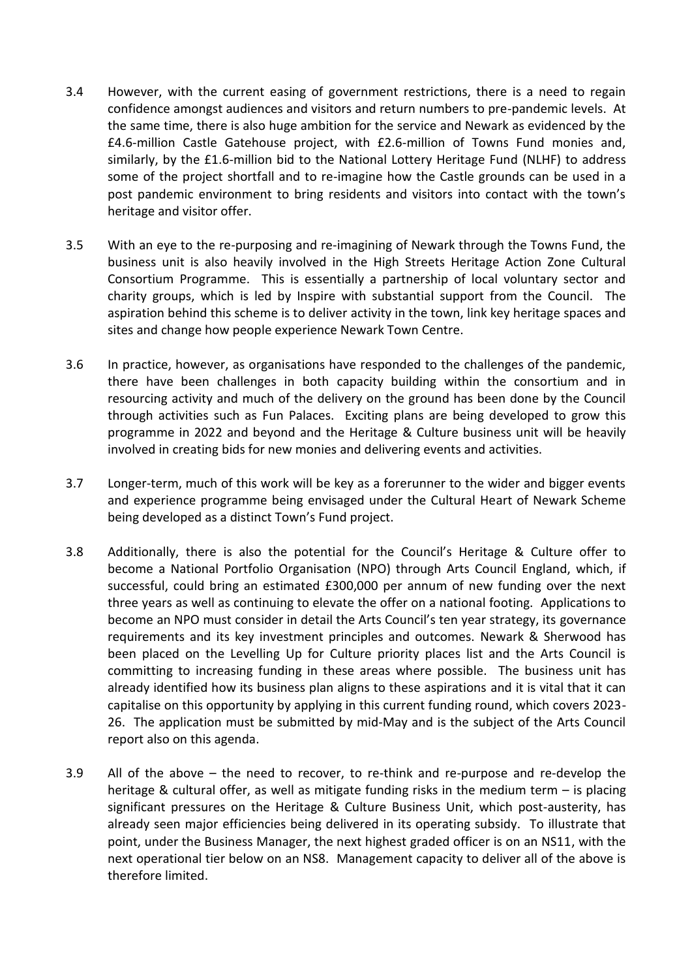- 3.4 However, with the current easing of government restrictions, there is a need to regain confidence amongst audiences and visitors and return numbers to pre-pandemic levels. At the same time, there is also huge ambition for the service and Newark as evidenced by the £4.6-million Castle Gatehouse project, with £2.6-million of Towns Fund monies and, similarly, by the £1.6-million bid to the National Lottery Heritage Fund (NLHF) to address some of the project shortfall and to re-imagine how the Castle grounds can be used in a post pandemic environment to bring residents and visitors into contact with the town's heritage and visitor offer.
- 3.5 With an eye to the re-purposing and re-imagining of Newark through the Towns Fund, the business unit is also heavily involved in the High Streets Heritage Action Zone Cultural Consortium Programme. This is essentially a partnership of local voluntary sector and charity groups, which is led by Inspire with substantial support from the Council. The aspiration behind this scheme is to deliver activity in the town, link key heritage spaces and sites and change how people experience Newark Town Centre.
- 3.6 In practice, however, as organisations have responded to the challenges of the pandemic, there have been challenges in both capacity building within the consortium and in resourcing activity and much of the delivery on the ground has been done by the Council through activities such as Fun Palaces. Exciting plans are being developed to grow this programme in 2022 and beyond and the Heritage & Culture business unit will be heavily involved in creating bids for new monies and delivering events and activities.
- 3.7 Longer-term, much of this work will be key as a forerunner to the wider and bigger events and experience programme being envisaged under the Cultural Heart of Newark Scheme being developed as a distinct Town's Fund project.
- 3.8 Additionally, there is also the potential for the Council's Heritage & Culture offer to become a National Portfolio Organisation (NPO) through Arts Council England, which, if successful, could bring an estimated £300,000 per annum of new funding over the next three years as well as continuing to elevate the offer on a national footing. Applications to become an NPO must consider in detail the Arts Council's ten year strategy, its governance requirements and its key investment principles and outcomes. Newark & Sherwood has been placed on the Levelling Up for Culture priority places list and the Arts Council is committing to increasing funding in these areas where possible. The business unit has already identified how its business plan aligns to these aspirations and it is vital that it can capitalise on this opportunity by applying in this current funding round, which covers 2023- 26. The application must be submitted by mid-May and is the subject of the Arts Council report also on this agenda.
- 3.9 All of the above the need to recover, to re-think and re-purpose and re-develop the heritage & cultural offer, as well as mitigate funding risks in the medium term – is placing significant pressures on the Heritage & Culture Business Unit, which post-austerity, has already seen major efficiencies being delivered in its operating subsidy. To illustrate that point, under the Business Manager, the next highest graded officer is on an NS11, with the next operational tier below on an NS8. Management capacity to deliver all of the above is therefore limited.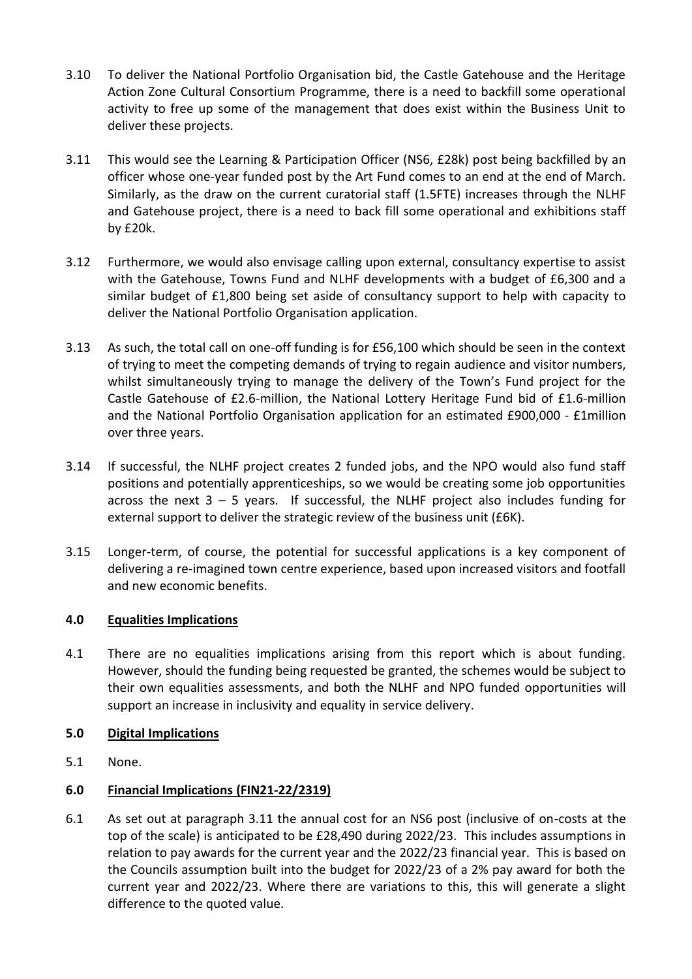- 3.10 To deliver the National Portfolio Organisation bid, the Castle Gatehouse and the Heritage Action Zone Cultural Consortium Programme, there is a need to backfill some operational activity to free up some of the management that does exist within the Business Unit to deliver these projects.
- 3.11 This would see the Learning & Participation Officer (NS6, £28k) post being backfilled by an officer whose one-year funded post by the Art Fund comes to an end at the end of March. Similarly, as the draw on the current curatorial staff (1.5FTE) increases through the NLHF and Gatehouse project, there is a need to back fill some operational and exhibitions staff by £20k.
- 3.12 Furthermore, we would also envisage calling upon external, consultancy expertise to assist with the Gatehouse, Towns Fund and NLHF developments with a budget of £6,300 and a similar budget of £1,800 being set aside of consultancy support to help with capacity to deliver the National Portfolio Organisation application.
- 3.13 As such, the total call on one-off funding is for £56,100 which should be seen in the context of trying to meet the competing demands of trying to regain audience and visitor numbers, whilst simultaneously trying to manage the delivery of the Town's Fund project for the Castle Gatehouse of £2.6-million, the National Lottery Heritage Fund bid of £1.6-million and the National Portfolio Organisation application for an estimated £900,000 - £1million over three years.
- 3.14 If successful, the NLHF project creates 2 funded jobs, and the NPO would also fund staff positions and potentially apprenticeships, so we would be creating some job opportunities across the next  $3 - 5$  years. If successful, the NLHF project also includes funding for external support to deliver the strategic review of the business unit (£6K).
- 3.15 Longer-term, of course, the potential for successful applications is a key component of delivering a re-imagined town centre experience, based upon increased visitors and footfall and new economic benefits.

# **4.0 Equalities Implications**

4.1 There are no equalities implications arising from this report which is about funding. However, should the funding being requested be granted, the schemes would be subject to their own equalities assessments, and both the NLHF and NPO funded opportunities will support an increase in inclusivity and equality in service delivery.

# **5.0 Digital Implications**

5.1 None.

# **6.0 Financial Implications (FIN21-22/2319)**

6.1 As set out at paragraph 3.11 the annual cost for an NS6 post (inclusive of on-costs at the top of the scale) is anticipated to be £28,490 during 2022/23. This includes assumptions in relation to pay awards for the current year and the 2022/23 financial year. This is based on the Councils assumption built into the budget for 2022/23 of a 2% pay award for both the current year and 2022/23. Where there are variations to this, this will generate a slight difference to the quoted value.